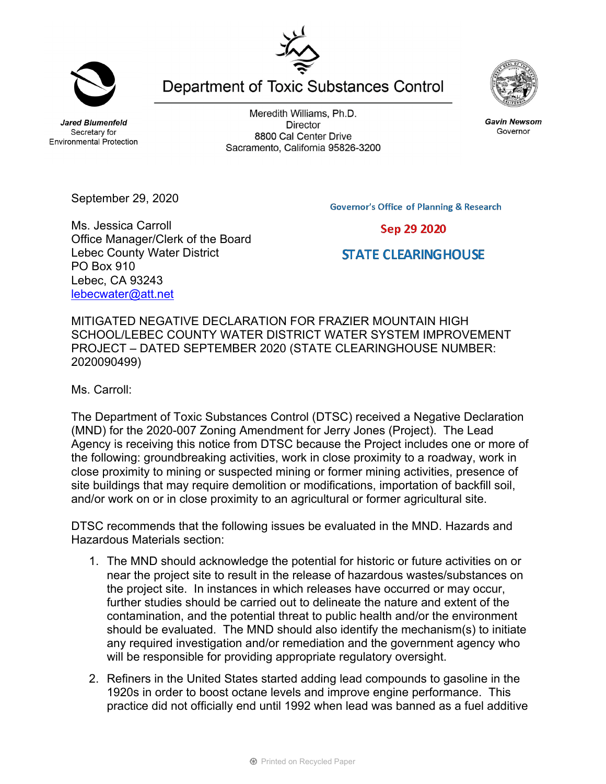**Jared Blumenfeld** Secretary for **Environmental Protection** 

Meredith Williams, Ph.D. **Director** 8800 Cal Center Drive Sacramento, California 95826-3200



September 29, 2020

**Governor's Office of Planning & Research** Sep 29 2020

**STATE CLEARING HOUSE** 

Ms. Jessica Carroll Office Manager/Clerk of the Board Lebec County Water District PO Box 910 Lebec, CA 93243 lebecwater@att.net

MITIGATED NEGATIVE DECLARATION FOR FRAZIER MOUNTAIN HIGH SCHOOL/LEBEC COUNTY WATER DISTRICT WATER SYSTEM IMPROVEMENT PROJECT – DATED SEPTEMBER 2020 (STATE CLEARINGHOUSE NUMBER: 2020090499)

Ms. Carroll:

The Department of Toxic Substances Control (DTSC) received a Negative Declaration (MND) for the 2020-007 Zoning Amendment for Jerry Jones (Project). The Lead Agency is receiving this notice from DTSC because the Project includes one or more of the following: groundbreaking activities, work in close proximity to a roadway, work in close proximity to mining or suspected mining or former mining activities, presence of site buildings that may require demolition or modifications, importation of backfill soil, and/or work on or in close proximity to an agricultural or former agricultural site.

DTSC recommends that the following issues be evaluated in the MND. Hazards and Hazardous Materials section:

- 1. The MND should acknowledge the potential for historic or future activities on or near the project site to result in the release of hazardous wastes/substances on the project site. In instances in which releases have occurred or may occur, further studies should be carried out to delineate the nature and extent of the contamination, and the potential threat to public health and/or the environment should be evaluated. The MND should also identify the mechanism(s) to initiate any required investigation and/or remediation and the government agency who will be responsible for providing appropriate regulatory oversight.
- 2. Refiners in the United States started adding lead compounds to gasoline in the 1920s in order to boost octane levels and improve engine performance. This practice did not officially end until 1992 when lead was banned as a fuel additive







**Gavin Newsom** 

Governor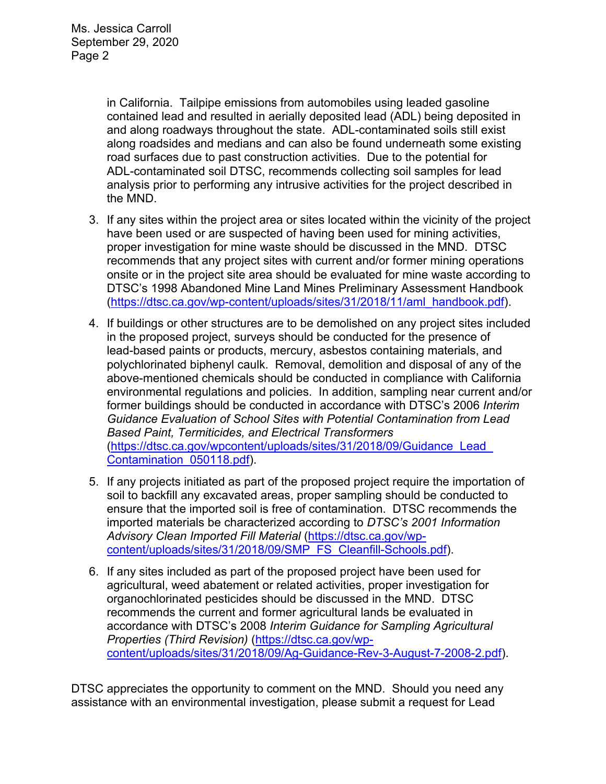in California. Tailpipe emissions from automobiles using leaded gasoline contained lead and resulted in aerially deposited lead (ADL) being deposited in and along roadways throughout the state. ADL-contaminated soils still exist along roadsides and medians and can also be found underneath some existing road surfaces due to past construction activities. Due to the potential for ADL-contaminated soil DTSC, recommends collecting soil samples for lead analysis prior to performing any intrusive activities for the project described in the MND.

- 3. If any sites within the project area or sites located within the vicinity of the project have been used or are suspected of having been used for mining activities, proper investigation for mine waste should be discussed in the MND. DTSC recommends that any project sites with current and/or former mining operations onsite or in the project site area should be evaluated for mine waste according to DTSC's 1998 Abandoned Mine Land Mines Preliminary Assessment Handbook (https://dtsc.ca.gov/wp-content/uploads/sites/31/2018/11/aml\_handbook.pdf).
- 4. If buildings or other structures are to be demolished on any project sites included in the proposed project, surveys should be conducted for the presence of lead-based paints or products, mercury, asbestos containing materials, and polychlorinated biphenyl caulk. Removal, demolition and disposal of any of the above-mentioned chemicals should be conducted in compliance with California environmental regulations and policies. In addition, sampling near current and/or former buildings should be conducted in accordance with DTSC's 2006 *Interim Guidance Evaluation of School Sites with Potential Contamination from Lead Based Paint, Termiticides, and Electrical Transformers*  (https://dtsc.ca.gov/wpcontent/uploads/sites/31/2018/09/Guidance\_Lead\_ Contamination\_050118.pdf).
- 5. If any projects initiated as part of the proposed project require the importation of soil to backfill any excavated areas, proper sampling should be conducted to ensure that the imported soil is free of contamination. DTSC recommends the imported materials be characterized according to *DTSC's 2001 Information Advisory Clean Imported Fill Material* (https://dtsc.ca.gov/wpcontent/uploads/sites/31/2018/09/SMP\_FS\_Cleanfill-Schools.pdf).
- 6. If any sites included as part of the proposed project have been used for agricultural, weed abatement or related activities, proper investigation for organochlorinated pesticides should be discussed in the MND. DTSC recommends the current and former agricultural lands be evaluated in accordance with DTSC's 2008 *Interim Guidance for Sampling Agricultural Properties (Third Revision)* (https://dtsc.ca.gov/wpcontent/uploads/sites/31/2018/09/Ag-Guidance-Rev-3-August-7-2008-2.pdf).

DTSC appreciates the opportunity to comment on the MND. Should you need any assistance with an environmental investigation, please submit a request for Lead